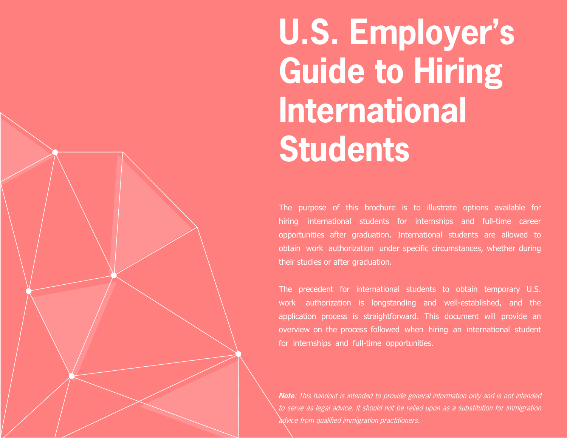**U.S. Employer's Guide to Hiring International Students**

The purpose of this brochure is to illustrate options available for hiring international students for internships and full-time career opportunities after graduation. International students are allowed to obtain work authorization under specific circumstances, whether during their studies or after graduation.

The precedent for international students to obtain temporary U.S. work authorization is longstanding and well-established, and the application process is straightforward. This document will provide an overview on the process followed when hiring an international student for internships and full-time opportunities.

**Note**: This handout is intended to provide general information only and is not intended to serve as legal advice. It should not be relied upon as a substitution for immigration advice from qualified immigration practitioners.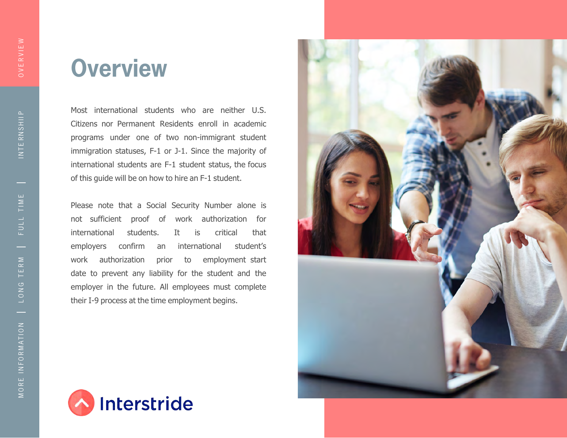## **Overview**

Most international students who are neither U.S. Citizens nor Permanent Residents enroll in academic programs under one of two non-immigrant student immigration statuses, F-1 or J-1. Since the majority of international students are F-1 student status, the focus of this guide will be on how to hire an F-1 student.

Please note that a Social Security Number alone is not sufficient proof of work authorization for international students. It is critical that employers confirm an international student's work authorization prior to employment start date to prevent any liability for the student and the employer in the future. All employees must complete their I-9 process at the time employment begins.



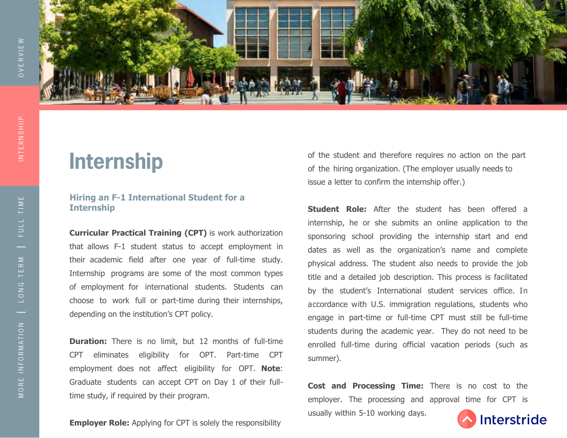INTE R N S HIIP

INTERNSHIIP



### **Internship**

### **Hiring an F-1 International Student for a Internship**

**Curricular Practical Training (CPT)** is work authorization that allows F-1 student status to accept employment in their academic field after one year of full-time study. Internship programs are some of the most common types of employment for international students. Students can choose to work full or part-time during their internships, depending on the institution's CPT policy.

**Duration:** There is no limit, but 12 months of full-time CPT eliminates eligibility for OPT. Part-time CPT employment does not affect eligibility for OPT. **Note**: Graduate students can accept CPT on Day 1 of their fulltime study, if required by their program.

**Employer Role:** Applying for CPT is solely the responsibility

of the student and therefore requires no action on the part of the hiring organization. (The employer usually needs to issue a letter to confirm the internship offer.)

**Student Role:** After the student has been offered a internship, he or she submits an online application to the sponsoring school providing the internship start and end dates as well as the organization's name and complete physical address. The student also needs to provide the job title and a detailed job description. This process is facilitated by the student's International student services office. In accordance with U.S. immigration regulations, students who engage in part-time or full-time CPT must still be full-time students during the academic year. They do not need to be enrolled full-time during official vacation periods (such as summer).

**Cost and Processing Time:** There is no cost to the employer. The processing and approval time for CPT is usually within 5-10 working days.

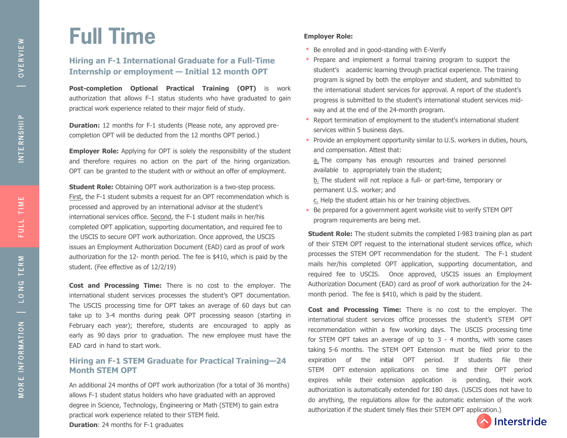## **Full Time**

### **Hiring an F-1 International Graduate for a Full-Time Internship or employment — Initial 12 month OPT**

**Post-completion Optional Practical Training (OPT)** is work authorization that allows F-1 status students who have graduated to gain practical work experience related to their major field of study.

**Duration:** 12 months for F-1 students (Please note, any approved precompletion OPT will be deducted from the 12 months OPT period.)

**Employer Role:** Applying for OPT is solely the responsibility of the student and therefore requires no action on the part of the hiring organization. OPT can be granted to the student with or without an offer of employment.

**Student Role:** Obtaining OPT work authorization is a two-step process. First, the F-1 student submits a request for an OPT recommendation which is processed and approved by an international advisor at the student's international services office. Second, the F-1 student mails in her/his completed OPT application, supporting documentation, and required fee to the USCIS to secure OPT work authorization. Once approved, the USCIS issues an Employment Authorization Document (EAD) card as proof of work authorization for the 12- month period. The fee is \$410, which is paid by the student. (Fee effective as of 12/2/19)

**Cost and Processing Time:** There is no cost to the employer. The international student services processes the student's OPT documentation. The USCIS processing time for OPT takes an average of 60 days but can take up to 3-4 months during peak OPT processing season (starting in February each year); therefore, students are encouraged to apply as early as 90 days prior to graduation. The new employee must have the EAD card in hand to start work.

### **Hiring an F-1 STEM Graduate for Practical Training—24 Month STEM OPT**

An additional 24 months of OPT work authorization (for a total of 36 months) allows F-1 student status holders who have graduated with an approved degree in Science, Technology, Engineering or Math (STEM) to gain extra practical work experience related to their STEM field.

**Duration**: 24 months for F-1 graduates

#### **Employer Role:**

- Be enrolled and in good-standing with E-Verify
- Prepare and implement a formal training program to support the student's academic learning through practical experience. The training program is signed by both the employer and student, and submitted to the international student services for approval. A report of the student's progress is submitted to the student's international student services midway and at the end of the 24-month program.
- Report termination of employment to the student's international student services within 5 business days.
- Provide an employment opportunity similar to U.S. workers in duties, hours, and compensation. Attest that:

a. The company has enough resources and trained personnel available to appropriately train the student;

b. The student will not replace a full- or part-time, temporary or permanent U.S. worker; and

c. Help the student attain his or her training objectives.

• Be prepared for a government agent worksite visit to verify STEM OPT program requirements are being met.

**Student Role:** The student submits the completed I-983 training plan as part of their STEM OPT request to the international student services office, which processes the STEM OPT recommendation for the student. The F-1 student mails her/his completed OPT application, supporting documentation, and required fee to USCIS. Once approved, USCIS issues an Employment Authorization Document (EAD) card as proof of work authorization for the 24 month period. The fee is \$410, which is paid by the student.

**Cost and Processing Time:** There is no cost to the employer. The international student services office processes the student's STEM OPT recommendation within a few working days. The USCIS processing time for STEM OPT takes an average of up to 3 - 4 months, with some cases taking 5-6 months. The STEM OPT Extension must be filed prior to the expiration of the initial OPT period. If students file their STEM OPT extension applications on time and their OPT period expires while their extension application is pending, their work authorization is automatically extended for 180 days. (USCIS does not have to do anything, the regulations allow for the automatic extension of the work authorization if the student timely files their STEM OPT application.)

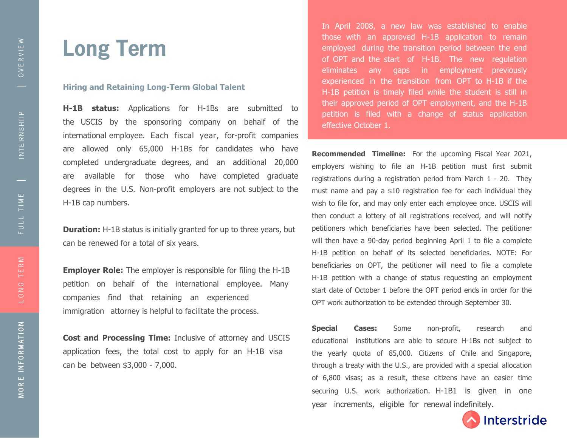INTE R N S HII P

INTE RNSHII P

## **Long Term**

### **Hiring and Retaining Long-Term Global Talent**

**H-1B status:** Applications for H-1Bs are submitted to the USCIS by the sponsoring company on behalf of the international employee. Each fiscal year, for-profit companies are allowed only 65,000 H-1Bs for candidates who have completed undergraduate degrees, and an additional 20,000 are available for those who have completed graduate degrees in the U.S. Non-profit employers are not subject to the H-1B cap numbers.

**Duration:** H-1B status is initially granted for up to three years, but can be renewed for a total of six years.

**Employer Role:** The employer is responsible for filing the H-1B petition on behalf of the international employee. Many companies find that retaining an experienced immigration attorney is helpful to facilitate the process.

**Cost and Processing Time:** Inclusive of attorney and USCIS application fees, the total cost to apply for an H-1B visa can be between \$3,000 - 7,000.

In April 2008, a new law was established to enable those with an approved H-1B application to remain employed during the transition period between the end of OPT and the start of H-1B. The new regulation eliminates any gaps in employment previously experienced in the transition from OPT to H-1B if the H-1B petition is timely filed while the student is still in their approved period of OPT employment, and the H-1B petition is filed with a change of status application effective October 1.

**Recommended Timeline:** For the upcoming Fiscal Year 2021, employers wishing to file an H-1B petition must first submit registrations during a registration period from March 1 - 20. They must name and pay a \$10 registration fee for each individual they wish to file for, and may only enter each employee once. USCIS will then conduct a lottery of all registrations received, and will notify petitioners which beneficiaries have been selected. The petitioner will then have a 90-day period beginning April 1 to file a complete H-1B petition on behalf of its selected beneficiaries. NOTE: For beneficiaries on OPT, the petitioner will need to file a complete H-1B petition with a change of status requesting an employment start date of October 1 before the OPT period ends in order for the OPT work authorization to be extended through September 30.

**Special Cases:** Some non-profit, research and educational institutions are able to secure H-1Bs not subject to the yearly quota of 85,000. Citizens of Chile and Singapore, through a treaty with the U.S., are provided with a special allocation of 6,800 visas; as a result, these citizens have an easier time securing U.S. work authorization. H-1B1 is given in one year increments, eligible for renewal indefinitely.



G T E R

M

FULL T I M E

FULL TIME